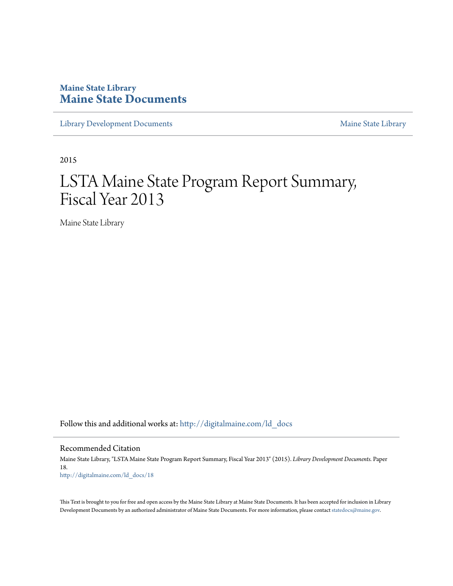# **Maine State Library [Maine State Documents](http://digitalmaine.com?utm_source=digitalmaine.com%2Fld_docs%2F18&utm_medium=PDF&utm_campaign=PDFCoverPages)**

[Library Development Documents](http://digitalmaine.com/ld_docs?utm_source=digitalmaine.com%2Fld_docs%2F18&utm_medium=PDF&utm_campaign=PDFCoverPages) [Maine State Library](http://digitalmaine.com/msl?utm_source=digitalmaine.com%2Fld_docs%2F18&utm_medium=PDF&utm_campaign=PDFCoverPages)

2015

# LSTA Maine State Program Report Summary, Fiscal Year 2013

Maine State Library

Follow this and additional works at: [http://digitalmaine.com/ld\\_docs](http://digitalmaine.com/ld_docs?utm_source=digitalmaine.com%2Fld_docs%2F18&utm_medium=PDF&utm_campaign=PDFCoverPages)

Recommended Citation

Maine State Library, "LSTA Maine State Program Report Summary, Fiscal Year 2013" (2015). *Library Development Documents.* Paper 18. [http://digitalmaine.com/ld\\_docs/18](http://digitalmaine.com/ld_docs/18?utm_source=digitalmaine.com%2Fld_docs%2F18&utm_medium=PDF&utm_campaign=PDFCoverPages)

This Text is brought to you for free and open access by the Maine State Library at Maine State Documents. It has been accepted for inclusion in Library Development Documents by an authorized administrator of Maine State Documents. For more information, please contact [statedocs@maine.gov](mailto:statedocs@maine.gov).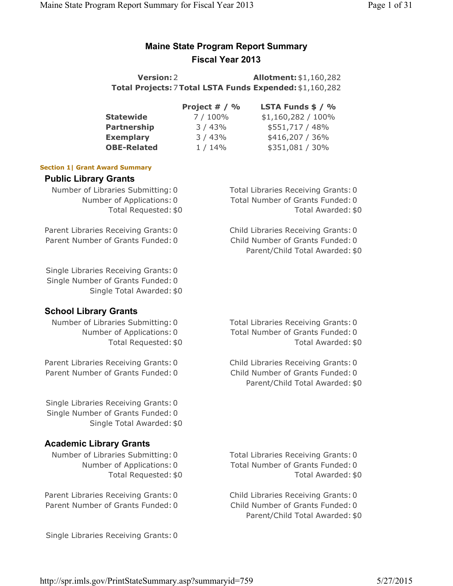# **Maine State Program Report Summary Fiscal Year 2013**

**Version:**2 **Allotment:**\$1,160,282 **Total Projects:**7**Total LSTA Funds Expended:**\$1,160,282

|                    | Project $# / \%$ | <b>LSTA Funds <math>\$ / %</math></b> |
|--------------------|------------------|---------------------------------------|
| <b>Statewide</b>   | 7/100%           | $$1,160,282 / 100\%$                  |
| <b>Partnership</b> | 3/43%            | \$551,717 / 48%                       |
| <b>Exemplary</b>   | 3/43%            | \$416,207 / 36%                       |
| <b>OBE-Related</b> | $1/14\%$         | \$351,081 / 30%                       |

## **Section 1| Grant Award Summary**

## **Public Library Grants**

Parent Libraries Receiving Grants: 0 Child Libraries Receiving Grants: 0 Parent Number of Grants Funded: 0 Child Number of Grants Funded: 0

Single Libraries Receiving Grants: 0 Single Number of Grants Funded: 0

Single Total Awarded: \$0

# **School Library Grants**

Parent Libraries Receiving Grants: 0 Child Libraries Receiving Grants: 0 Parent Number of Grants Funded: 0 Child Number of Grants Funded: 0

Single Libraries Receiving Grants: 0 Single Number of Grants Funded: 0 Single Total Awarded: \$0

# **Academic Library Grants**

Parent Libraries Receiving Grants: 0 Child Libraries Receiving Grants: 0 Parent Number of Grants Funded: 0 Child Number of Grants Funded: 0

Single Libraries Receiving Grants: 0

Number of Libraries Submitting: 0 Total Libraries Receiving Grants: 0 Number of Applications: 0 Total Number of Grants Funded: 0 Total Requested: \$0 Total Awarded: \$0

Parent/Child Total Awarded: \$0

Number of Libraries Submitting: 0 Total Libraries Receiving Grants: 0 Number of Applications: 0 Total Number of Grants Funded: 0 Total Requested: \$0 Total Awarded: \$0

Parent/Child Total Awarded: \$0

Number of Libraries Submitting: 0 Total Libraries Receiving Grants: 0 Number of Applications: 0 Total Number of Grants Funded: 0 Total Requested: \$0 Total Awarded: \$0

Parent/Child Total Awarded: \$0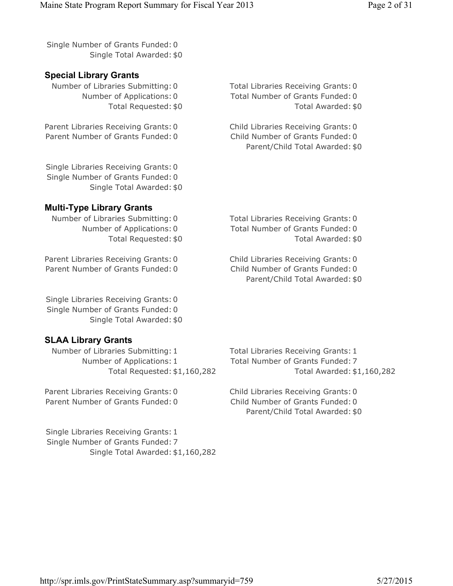Single Number of Grants Funded: 0 Single Total Awarded: \$0

# **Special Library Grants**

Number of Libraries Submitting: 0 Total Libraries Receiving Grants: 0

Parent Libraries Receiving Grants: 0 Child Libraries Receiving Grants: 0 Parent Number of Grants Funded: 0 Child Number of Grants Funded: 0

Number of Applications: 0 Total Number of Grants Funded: 0 Total Requested: \$0 Total Awarded: \$0

Parent/Child Total Awarded: \$0

Single Libraries Receiving Grants: 0 Single Number of Grants Funded: 0 Single Total Awarded: \$0

# **Multi-Type Library Grants**

Number of Libraries Submitting: 0 Total Libraries Receiving Grants: 0

Parent Libraries Receiving Grants: 0 Child Libraries Receiving Grants: 0 Parent Number of Grants Funded: 0 Child Number of Grants Funded: 0

Single Libraries Receiving Grants: 0 Single Number of Grants Funded: 0 Single Total Awarded: \$0

# **SLAA Library Grants**

Number of Libraries Submitting: 1 Total Libraries Receiving Grants: 1 Number of Applications: 1 Total Number of Grants Funded: 7

Parent Libraries Receiving Grants: 0 Child Libraries Receiving Grants: 0 Parent Number of Grants Funded: 0 Child Number of Grants Funded: 0

Single Libraries Receiving Grants: 1 Single Number of Grants Funded: 7 Single Total Awarded: \$1,160,282

Number of Applications: 0 Total Number of Grants Funded: 0 Total Requested: \$0 Total Awarded: \$0

Parent/Child Total Awarded: \$0

Total Requested: \$1,160,282 Total Awarded: \$1,160,282

Parent/Child Total Awarded: \$0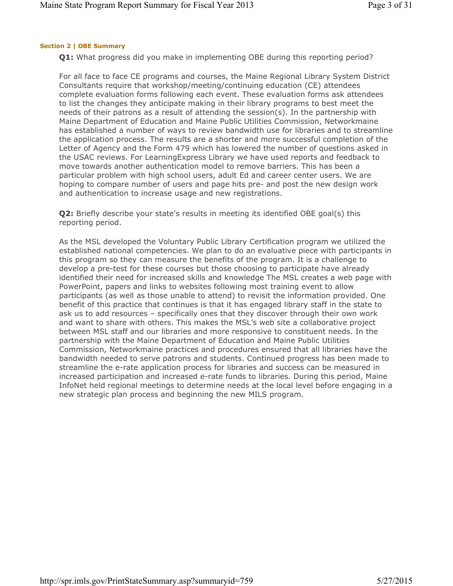# **Section 2 | OBE Summary**

**Q1:** What progress did you make in implementing OBE during this reporting period?

For all face to face CE programs and courses, the Maine Regional Library System District Consultants require that workshop/meeting/continuing education (CE) attendees complete evaluation forms following each event. These evaluation forms ask attendees to list the changes they anticipate making in their library programs to best meet the needs of their patrons as a result of attending the session(s). In the partnership with Maine Department of Education and Maine Public Utilities Commission, Networkmaine has established a number of ways to review bandwidth use for libraries and to streamline the application process. The results are a shorter and more successful completion of the Letter of Agency and the Form 479 which has lowered the number of questions asked in the USAC reviews. For LearningExpress Library we have used reports and feedback to move towards another authentication model to remove barriers. This has been a particular problem with high school users, adult Ed and career center users. We are hoping to compare number of users and page hits pre- and post the new design work and authentication to increase usage and new registrations.

**Q2:** Briefly describe your state's results in meeting its identified OBE goal(s) this reporting period.

As the MSL developed the Voluntary Public Library Certification program we utilized the established national competencies. We plan to do an evaluative piece with participants in this program so they can measure the benefits of the program. It is a challenge to develop a pre-test for these courses but those choosing to participate have already identified their need for increased skills and knowledge The MSL creates a web page with PowerPoint, papers and links to websites following most training event to allow participants (as well as those unable to attend) to revisit the information provided. One benefit of this practice that continues is that it has engaged library staff in the state to ask us to add resources – specifically ones that they discover through their own work and want to share with others. This makes the MSL's web site a collaborative project between MSL staff and our libraries and more responsive to constituent needs. In the partnership with the Maine Department of Education and Maine Public Utilities Commission, Networkmaine practices and procedures ensured that all libraries have the bandwidth needed to serve patrons and students. Continued progress has been made to streamline the e-rate application process for libraries and success can be measured in increased participation and increased e-rate funds to libraries. During this period, Maine InfoNet held regional meetings to determine needs at the local level before engaging in a new strategic plan process and beginning the new MILS program.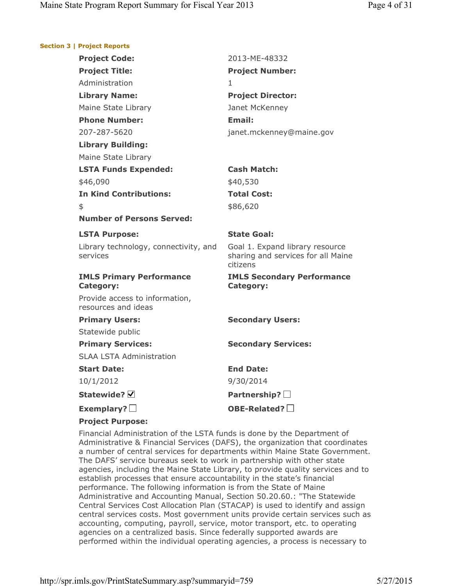#### **Section 3 | Project Reports**

| <b>Project Code:</b>                                  | 2013-ME-48332                                                                     |
|-------------------------------------------------------|-----------------------------------------------------------------------------------|
| <b>Project Title:</b>                                 | <b>Project Number:</b>                                                            |
| Administration                                        | 1.                                                                                |
| <b>Library Name:</b>                                  | <b>Project Director:</b>                                                          |
| Maine State Library                                   | Janet McKenney                                                                    |
| <b>Phone Number:</b>                                  | <b>Email:</b>                                                                     |
| 207-287-5620                                          | janet.mckenney@maine.gov                                                          |
| <b>Library Building:</b>                              |                                                                                   |
| Maine State Library                                   |                                                                                   |
| <b>LSTA Funds Expended:</b>                           | <b>Cash Match:</b>                                                                |
| \$46,090                                              | \$40,530                                                                          |
| <b>In Kind Contributions:</b>                         | <b>Total Cost:</b>                                                                |
| \$                                                    | \$86,620                                                                          |
| <b>Number of Persons Served:</b>                      |                                                                                   |
| <b>LSTA Purpose:</b>                                  | <b>State Goal:</b>                                                                |
| Library technology, connectivity, and<br>services     | Goal 1. Expand library resource<br>sharing and services for all Maine<br>citizens |
| <b>IMLS Primary Performance</b><br><b>Category:</b>   | <b>IMLS Secondary Performance</b><br>Category:                                    |
| Provide access to information,<br>resources and ideas |                                                                                   |
| <b>Primary Users:</b>                                 | <b>Secondary Users:</b>                                                           |
| Statewide public                                      |                                                                                   |
| <b>Primary Services:</b>                              | <b>Secondary Services:</b>                                                        |
| <b>SLAA LSTA Administration</b>                       |                                                                                   |
| <b>Start Date:</b>                                    | <b>End Date:</b>                                                                  |
| 10/1/2012                                             | 9/30/2014                                                                         |
| Statewide? $\nabla$                                   | Partnership? $\square$                                                            |
| Exemplary? $\square$                                  | OBE-Related?                                                                      |
| <b>Based of the Base</b>                              |                                                                                   |

**Project Purpose:**

Financial Administration of the LSTA funds is done by the Department of Administrative & Financial Services (DAFS), the organization that coordinates a number of central services for departments within Maine State Government. The DAFS' service bureaus seek to work in partnership with other state agencies, including the Maine State Library, to provide quality services and to establish processes that ensure accountability in the state's financial performance. The following information is from the State of Maine Administrative and Accounting Manual, Section 50.20.60.: "The Statewide Central Services Cost Allocation Plan (STACAP) is used to identify and assign central services costs. Most government units provide certain services such as accounting, computing, payroll, service, motor transport, etc. to operating agencies on a centralized basis. Since federally supported awards are performed within the individual operating agencies, a process is necessary to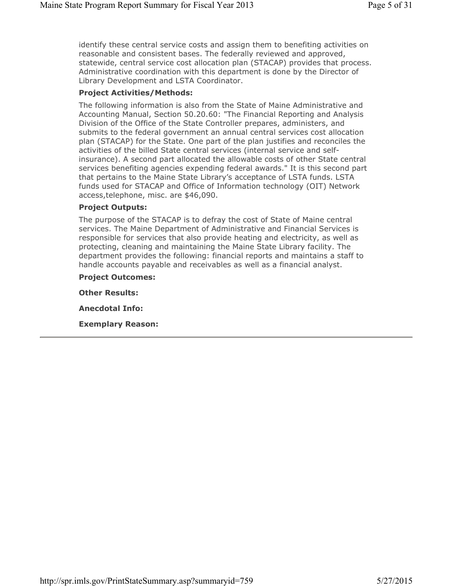identify these central service costs and assign them to benefiting activities on reasonable and consistent bases. The federally reviewed and approved, statewide, central service cost allocation plan (STACAP) provides that process. Administrative coordination with this department is done by the Director of Library Development and LSTA Coordinator.

#### **Project Activities/Methods:**

The following information is also from the State of Maine Administrative and Accounting Manual, Section 50.20.60: "The Financial Reporting and Analysis Division of the Office of the State Controller prepares, administers, and submits to the federal government an annual central services cost allocation plan (STACAP) for the State. One part of the plan justifies and reconciles the activities of the billed State central services (internal service and selfinsurance). A second part allocated the allowable costs of other State central services benefiting agencies expending federal awards." It is this second part that pertains to the Maine State Library's acceptance of LSTA funds. LSTA funds used for STACAP and Office of Information technology (OIT) Network access,telephone, misc. are \$46,090.

## **Project Outputs:**

The purpose of the STACAP is to defray the cost of State of Maine central services. The Maine Department of Administrative and Financial Services is responsible for services that also provide heating and electricity, as well as protecting, cleaning and maintaining the Maine State Library facility. The department provides the following: financial reports and maintains a staff to handle accounts payable and receivables as well as a financial analyst.

**Project Outcomes:**

**Other Results:**

**Anecdotal Info:**

**Exemplary Reason:**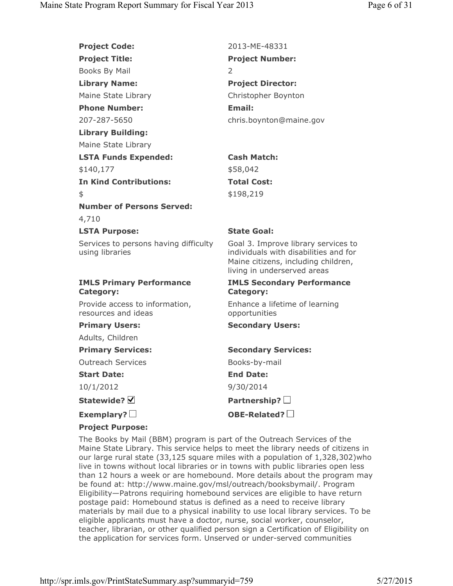| <b>Project Code:</b>                                     | 2013-MF-48331                                                                                                                                      |
|----------------------------------------------------------|----------------------------------------------------------------------------------------------------------------------------------------------------|
| <b>Project Title:</b>                                    | <b>Project Number:</b>                                                                                                                             |
| Books By Mail                                            | 2                                                                                                                                                  |
| <b>Library Name:</b>                                     | <b>Project Director:</b>                                                                                                                           |
| Maine State Library                                      | Christopher Boynton                                                                                                                                |
| <b>Phone Number:</b>                                     | <b>Email:</b>                                                                                                                                      |
| 207-287-5650                                             | chris.boynton@maine.gov                                                                                                                            |
| <b>Library Building:</b>                                 |                                                                                                                                                    |
| Maine State Library                                      |                                                                                                                                                    |
| <b>LSTA Funds Expended:</b>                              | <b>Cash Match:</b>                                                                                                                                 |
| \$140,177                                                | \$58,042                                                                                                                                           |
| <b>In Kind Contributions:</b>                            | <b>Total Cost:</b>                                                                                                                                 |
| \$                                                       | \$198,219                                                                                                                                          |
| <b>Number of Persons Served:</b>                         |                                                                                                                                                    |
| 4,710                                                    |                                                                                                                                                    |
| <b>LSTA Purpose:</b>                                     | <b>State Goal:</b>                                                                                                                                 |
| Services to persons having difficulty<br>using libraries | Goal 3. Improve library services to<br>individuals with disabilities and for<br>Maine citizens, including children,<br>living in underserved areas |
| <b>IMLS Primary Performance</b><br><b>Category:</b>      | <b>IMLS Secondary Performance</b><br><b>Category:</b>                                                                                              |
| Provide access to information,<br>resources and ideas    | Enhance a lifetime of learning<br>opportunities                                                                                                    |
| <b>Primary Users:</b>                                    | <b>Secondary Users:</b>                                                                                                                            |
| Adults, Children                                         |                                                                                                                                                    |
| <b>Primary Services:</b>                                 | <b>Secondary Services:</b>                                                                                                                         |
| <b>Outreach Services</b>                                 | Books-by-mail                                                                                                                                      |
| <b>Start Date:</b>                                       | <b>End Date:</b>                                                                                                                                   |
| 10/1/2012                                                | 9/30/2014                                                                                                                                          |
| Statewide? Ø                                             | Partnership? $\square$                                                                                                                             |
| Exemplary? $\square$                                     | OBE-Related? $\square$                                                                                                                             |
| <b>Project Purpose:</b>                                  |                                                                                                                                                    |

The Books by Mail (BBM) program is part of the Outreach Services of the Maine State Library. This service helps to meet the library needs of citizens in our large rural state (33,125 square miles with a population of 1,328,302)who live in towns without local libraries or in towns with public libraries open less than 12 hours a week or are homebound. More details about the program may be found at: http://www.maine.gov/msl/outreach/booksbymail/. Program Eligibility—Patrons requiring homebound services are eligible to have return postage paid: Homebound status is defined as a need to receive library materials by mail due to a physical inability to use local library services. To be eligible applicants must have a doctor, nurse, social worker, counselor, teacher, librarian, or other qualified person sign a Certification of Eligibility on the application for services form. Unserved or under-served communities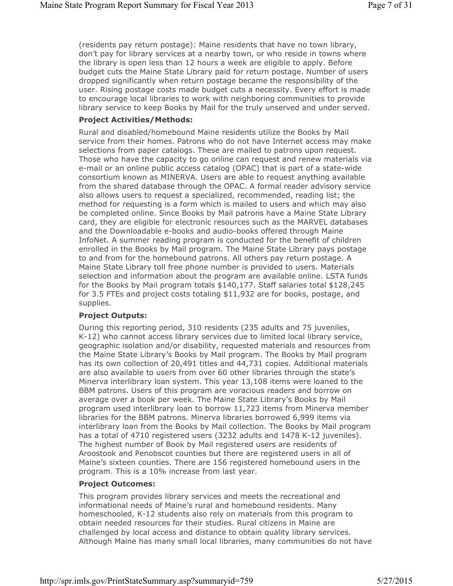(residents pay return postage): Maine residents that have no town library, don't pay for library services at a nearby town, or who reside in towns where the library is open less than 12 hours a week are eligible to apply. Before budget cuts the Maine State Library paid for return postage. Number of users dropped significantly when return postage became the responsibility of the user. Rising postage costs made budget cuts a necessity. Every effort is made to encourage local libraries to work with neighboring communities to provide library service to keep Books by Mail for the truly unserved and under served.

#### **Project Activities/Methods:**

Rural and disabled/homebound Maine residents utilize the Books by Mail service from their homes. Patrons who do not have Internet access may make selections from paper catalogs. These are mailed to patrons upon request. Those who have the capacity to go online can request and renew materials via e-mail or an online public access catalog (OPAC) that is part of a state-wide consortium known as MINERVA. Users are able to request anything available from the shared database through the OPAC. A formal reader advisory service also allows users to request a specialized, recommended, reading list; the method for requesting is a form which is mailed to users and which may also be completed online. Since Books by Mail patrons have a Maine State Library card, they are eligible for electronic resources such as the MARVEL databases and the Downloadable e-books and audio-books offered through Maine InfoNet. A summer reading program is conducted for the benefit of children enrolled in the Books by Mail program. The Maine State Library pays postage to and from for the homebound patrons. All others pay return postage. A Maine State Library toll free phone number is provided to users. Materials selection and information about the program are available online. LSTA funds for the Books by Mail program totals \$140,177. Staff salaries total \$128,245 for 3.5 FTEs and project costs totaling \$11,932 are for books, postage, and supplies.

#### **Project Outputs:**

During this reporting period, 310 residents (235 adults and 75 juveniles, K-12) who cannot access library services due to limited local library service, geographic isolation and/or disability, requested materials and resources from the Maine State Library's Books by Mail program. The Books by Mail program has its own collection of 20,491 titles and 44,731 copies. Additional materials are also available to users from over 60 other libraries through the state's Minerva interlibrary loan system. This year 13,108 items were loaned to the BBM patrons. Users of this program are voracious readers and borrow on average over a book per week. The Maine State Library's Books by Mail program used interlibrary loan to borrow 11,723 items from Minerva member libraries for the BBM patrons. Minerva libraries borrowed 6,999 items via interlibrary loan from the Books by Mail collection. The Books by Mail program has a total of 4710 registered users (3232 adults and 1478 K-12 juveniles). The highest number of Book by Mail registered users are residents of Aroostook and Penobscot counties but there are registered users in all of Maine's sixteen counties. There are 156 registered homebound users in the program. This is a 10% increase from last year.

#### **Project Outcomes:**

This program provides library services and meets the recreational and informational needs of Maine's rural and homebound residents. Many homeschooled, K-12 students also rely on materials from this program to obtain needed resources for their studies. Rural citizens in Maine are challenged by local access and distance to obtain quality library services. Although Maine has many small local libraries, many communities do not have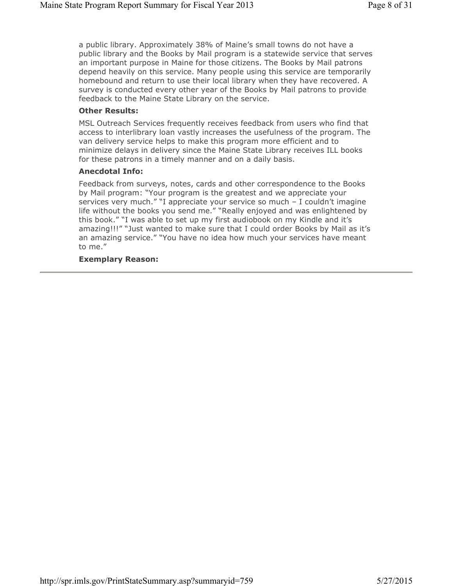a public library. Approximately 38% of Maine's small towns do not have a public library and the Books by Mail program is a statewide service that serves an important purpose in Maine for those citizens. The Books by Mail patrons depend heavily on this service. Many people using this service are temporarily homebound and return to use their local library when they have recovered. A survey is conducted every other year of the Books by Mail patrons to provide feedback to the Maine State Library on the service.

#### **Other Results:**

MSL Outreach Services frequently receives feedback from users who find that access to interlibrary loan vastly increases the usefulness of the program. The van delivery service helps to make this program more efficient and to minimize delays in delivery since the Maine State Library receives ILL books for these patrons in a timely manner and on a daily basis.

#### **Anecdotal Info:**

Feedback from surveys, notes, cards and other correspondence to the Books by Mail program: "Your program is the greatest and we appreciate your services very much." "I appreciate your service so much – I couldn't imagine life without the books you send me." "Really enjoyed and was enlightened by this book." "I was able to set up my first audiobook on my Kindle and it's amazing!!!" "Just wanted to make sure that I could order Books by Mail as it's an amazing service." "You have no idea how much your services have meant to me."

#### **Exemplary Reason:**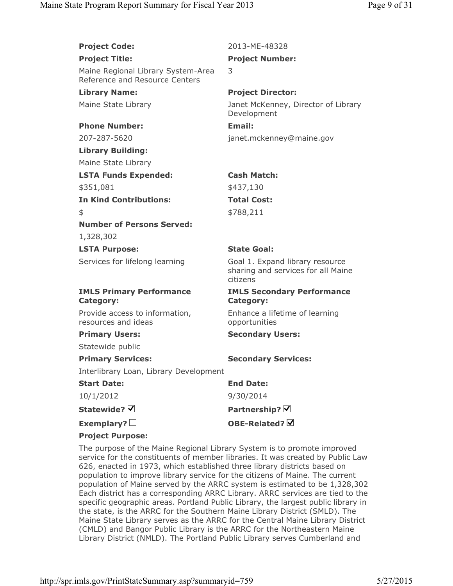| <b>Project Code:</b>                                                 | 2013-ME-48328                                                                     |
|----------------------------------------------------------------------|-----------------------------------------------------------------------------------|
| <b>Project Title:</b>                                                | <b>Project Number:</b>                                                            |
| Maine Regional Library System-Area<br>Reference and Resource Centers | 3                                                                                 |
| <b>Library Name:</b>                                                 | <b>Project Director:</b>                                                          |
| Maine State Library                                                  | Janet McKenney, Director of Library<br>Development                                |
| <b>Phone Number:</b>                                                 | Email:                                                                            |
| 207-287-5620                                                         | janet.mckenney@maine.gov                                                          |
| <b>Library Building:</b>                                             |                                                                                   |
| Maine State Library                                                  |                                                                                   |
| <b>LSTA Funds Expended:</b>                                          | <b>Cash Match:</b>                                                                |
| \$351,081                                                            | \$437,130                                                                         |
| <b>In Kind Contributions:</b>                                        | <b>Total Cost:</b>                                                                |
| \$                                                                   | \$788,211                                                                         |
| <b>Number of Persons Served:</b>                                     |                                                                                   |
| 1,328,302                                                            |                                                                                   |
|                                                                      |                                                                                   |
| <b>LSTA Purpose:</b>                                                 | <b>State Goal:</b>                                                                |
| Services for lifelong learning                                       | Goal 1. Expand library resource<br>sharing and services for all Maine<br>citizens |
| <b>IMLS Primary Performance</b><br><b>Category:</b>                  | <b>IMLS Secondary Performance</b><br><b>Category:</b>                             |
| Provide access to information,<br>resources and ideas                | Enhance a lifetime of learning<br>opportunities                                   |
| <b>Primary Users:</b>                                                | <b>Secondary Users:</b>                                                           |
| Statewide public                                                     |                                                                                   |
| <b>Primary Services:</b>                                             | <b>Secondary Services:</b>                                                        |
| Interlibrary Loan, Library Development                               |                                                                                   |
| <b>Start Date:</b>                                                   | <b>End Date:</b>                                                                  |
| 10/1/2012                                                            | 9/30/2014                                                                         |
| Statewide? Ø                                                         | Partnership? $\boxtimes$                                                          |
| Exemplary? $\square$                                                 | OBE-Related? V                                                                    |

The purpose of the Maine Regional Library System is to promote improved service for the constituents of member libraries. It was created by Public Law 626, enacted in 1973, which established three library districts based on population to improve library service for the citizens of Maine. The current population of Maine served by the ARRC system is estimated to be 1,328,302 Each district has a corresponding ARRC Library. ARRC services are tied to the specific geographic areas. Portland Public Library, the largest public library in the state, is the ARRC for the Southern Maine Library District (SMLD). The Maine State Library serves as the ARRC for the Central Maine Library District (CMLD) and Bangor Public Library is the ARRC for the Northeastern Maine Library District (NMLD). The Portland Public Library serves Cumberland and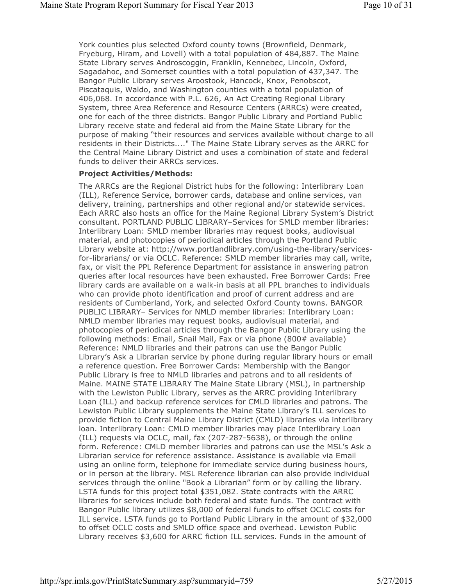York counties plus selected Oxford county towns (Brownfield, Denmark, Fryeburg, Hiram, and Lovell) with a total population of 484,887. The Maine State Library serves Androscoggin, Franklin, Kennebec, Lincoln, Oxford, Sagadahoc, and Somerset counties with a total population of 437,347. The Bangor Public Library serves Aroostook, Hancock, Knox, Penobscot, Piscataquis, Waldo, and Washington counties with a total population of 406,068. In accordance with P.L. 626, An Act Creating Regional Library System, three Area Reference and Resource Centers (ARRCs) were created, one for each of the three districts. Bangor Public Library and Portland Public Library receive state and federal aid from the Maine State Library for the purpose of making "their resources and services available without charge to all residents in their Districts...." The Maine State Library serves as the ARRC for the Central Maine Library District and uses a combination of state and federal funds to deliver their ARRCs services.

#### **Project Activities/Methods:**

The ARRCs are the Regional District hubs for the following: Interlibrary Loan (ILL), Reference Service, borrower cards, database and online services, van delivery, training, partnerships and other regional and/or statewide services. Each ARRC also hosts an office for the Maine Regional Library System's District consultant. PORTLAND PUBLIC LIBRARY–Services for SMLD member libraries: Interlibrary Loan: SMLD member libraries may request books, audiovisual material, and photocopies of periodical articles through the Portland Public Library website at: http://www.portlandlibrary.com/using-the-library/servicesfor-librarians/ or via OCLC. Reference: SMLD member libraries may call, write, fax, or visit the PPL Reference Department for assistance in answering patron queries after local resources have been exhausted. Free Borrower Cards: Free library cards are available on a walk-in basis at all PPL branches to individuals who can provide photo identification and proof of current address and are residents of Cumberland, York, and selected Oxford County towns. BANGOR PUBLIC LIBRARY– Services for NMLD member libraries: Interlibrary Loan: NMLD member libraries may request books, audiovisual material, and photocopies of periodical articles through the Bangor Public Library using the following methods: Email, Snail Mail, Fax or via phone (800# available) Reference: NMLD libraries and their patrons can use the Bangor Public Library's Ask a Librarian service by phone during regular library hours or email a reference question. Free Borrower Cards: Membership with the Bangor Public Library is free to NMLD libraries and patrons and to all residents of Maine. MAINE STATE LIBRARY The Maine State Library (MSL), in partnership with the Lewiston Public Library, serves as the ARRC providing Interlibrary Loan (ILL) and backup reference services for CMLD libraries and patrons. The Lewiston Public Library supplements the Maine State Library's ILL services to provide fiction to Central Maine Library District (CMLD) libraries via interlibrary loan. Interlibrary Loan: CMLD member libraries may place Interlibrary Loan (ILL) requests via OCLC, mail, fax (207-287-5638), or through the online form. Reference: CMLD member libraries and patrons can use the MSL's Ask a Librarian service for reference assistance. Assistance is available via Email using an online form, telephone for immediate service during business hours, or in person at the library. MSL Reference librarian can also provide individual services through the online "Book a Librarian" form or by calling the library. LSTA funds for this project total \$351,082. State contracts with the ARRC libraries for services include both federal and state funds. The contract with Bangor Public library utilizes \$8,000 of federal funds to offset OCLC costs for ILL service. LSTA funds go to Portland Public Library in the amount of \$32,000 to offset OCLC costs and SMLD office space and overhead. Lewiston Public Library receives \$3,600 for ARRC fiction ILL services. Funds in the amount of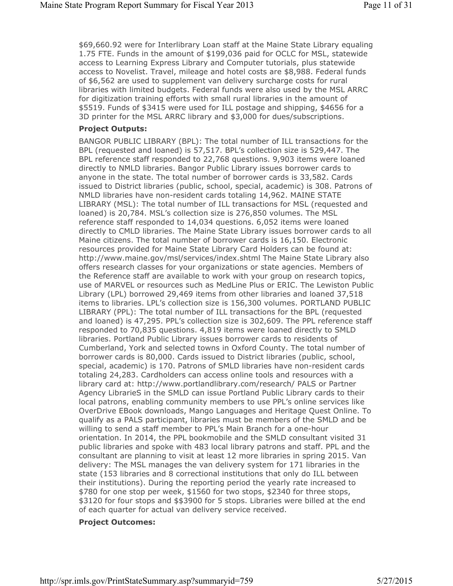\$69,660.92 were for Interlibrary Loan staff at the Maine State Library equaling 1.75 FTE. Funds in the amount of \$199,036 paid for OCLC for MSL, statewide access to Learning Express Library and Computer tutorials, plus statewide access to Novelist. Travel, mileage and hotel costs are \$8,988. Federal funds of \$6,562 are used to supplement van delivery surcharge costs for rural libraries with limited budgets. Federal funds were also used by the MSL ARRC for digitization training efforts with small rural libraries in the amount of \$5519. Funds of \$3415 were used for ILL postage and shipping, \$4656 for a 3D printer for the MSL ARRC library and \$3,000 for dues/subscriptions.

#### **Project Outputs:**

BANGOR PUBLIC LIBRARY (BPL): The total number of ILL transactions for the BPL (requested and loaned) is 57,517. BPL's collection size is 529,447. The BPL reference staff responded to 22,768 questions. 9,903 items were loaned directly to NMLD libraries. Bangor Public Library issues borrower cards to anyone in the state. The total number of borrower cards is 33,582. Cards issued to District libraries (public, school, special, academic) is 308. Patrons of NMLD libraries have non-resident cards totaling 14,962. MAINE STATE LIBRARY (MSL): The total number of ILL transactions for MSL (requested and loaned) is 20,784. MSL's collection size is 276,850 volumes. The MSL reference staff responded to 14,034 questions. 6,052 items were loaned directly to CMLD libraries. The Maine State Library issues borrower cards to all Maine citizens. The total number of borrower cards is 16,150. Electronic resources provided for Maine State Library Card Holders can be found at: http://www.maine.gov/msl/services/index.shtml The Maine State Library also offers research classes for your organizations or state agencies. Members of the Reference staff are available to work with your group on research topics, use of MARVEL or resources such as MedLine Plus or ERIC. The Lewiston Public Library (LPL) borrowed 29,469 items from other libraries and loaned 37,518 items to libraries. LPL's collection size is 156,300 volumes. PORTLAND PUBLIC LIBRARY (PPL): The total number of ILL transactions for the BPL (requested and loaned) is 47,295. PPL's collection size is 302,609. The PPL reference staff responded to 70,835 questions. 4,819 items were loaned directly to SMLD libraries. Portland Public Library issues borrower cards to residents of Cumberland, York and selected towns in Oxford County. The total number of borrower cards is 80,000. Cards issued to District libraries (public, school, special, academic) is 170. Patrons of SMLD libraries have non-resident cards totaling 24,283. Cardholders can access online tools and resources with a library card at: http://www.portlandlibrary.com/research/ PALS or Partner Agency LibrarieS in the SMLD can issue Portland Public Library cards to their local patrons, enabling community members to use PPL's online services like OverDrive EBook downloads, Mango Languages and Heritage Quest Online. To qualify as a PALS participant, libraries must be members of the SMLD and be willing to send a staff member to PPL's Main Branch for a one-hour orientation. In 2014, the PPL bookmobile and the SMLD consultant visited 31 public libraries and spoke with 483 local library patrons and staff. PPL and the consultant are planning to visit at least 12 more libraries in spring 2015. Van delivery: The MSL manages the van delivery system for 171 libraries in the state (153 libraries and 8 correctional institutions that only do ILL between their institutions). During the reporting period the yearly rate increased to \$780 for one stop per week, \$1560 for two stops, \$2340 for three stops, \$3120 for four stops and \$\$3900 for 5 stops. Libraries were billed at the end of each quarter for actual van delivery service received.

#### **Project Outcomes:**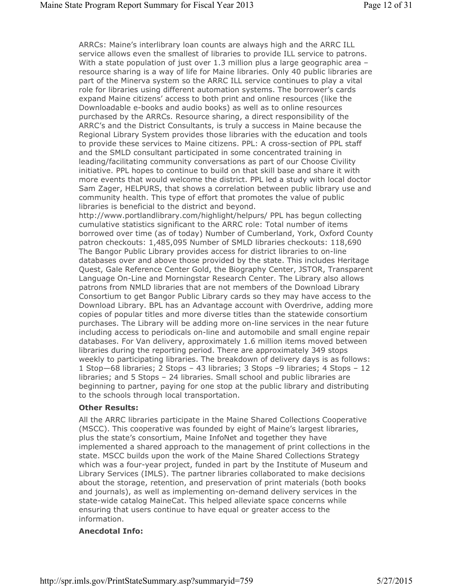ARRCs: Maine's interlibrary loan counts are always high and the ARRC ILL service allows even the smallest of libraries to provide ILL service to patrons. With a state population of just over 1.3 million plus a large geographic area resource sharing is a way of life for Maine libraries. Only 40 public libraries are part of the Minerva system so the ARRC ILL service continues to play a vital role for libraries using different automation systems. The borrower's cards expand Maine citizens' access to both print and online resources (like the Downloadable e-books and audio books) as well as to online resources purchased by the ARRCs. Resource sharing, a direct responsibility of the ARRC's and the District Consultants, is truly a success in Maine because the Regional Library System provides those libraries with the education and tools to provide these services to Maine citizens. PPL: A cross-section of PPL staff and the SMLD consultant participated in some concentrated training in leading/facilitating community conversations as part of our Choose Civility initiative. PPL hopes to continue to build on that skill base and share it with more events that would welcome the district. PPL led a study with local doctor Sam Zager, HELPURS, that shows a correlation between public library use and community health. This type of effort that promotes the value of public libraries is beneficial to the district and beyond. http://www.portlandlibrary.com/highlight/helpurs/ PPL has begun collecting cumulative statistics significant to the ARRC role: Total number of items borrowed over time (as of today) Number of Cumberland, York, Oxford County patron checkouts: 1,485,095 Number of SMLD libraries checkouts: 118,690 The Bangor Public Library provides access for district libraries to on-line databases over and above those provided by the state. This includes Heritage Quest, Gale Reference Center Gold, the Biography Center, JSTOR, Transparent Language On-Line and Morningstar Research Center. The Library also allows patrons from NMLD libraries that are not members of the Download Library Consortium to get Bangor Public Library cards so they may have access to the Download Library. BPL has an Advantage account with Overdrive, adding more copies of popular titles and more diverse titles than the statewide consortium purchases. The Library will be adding more on-line services in the near future including access to periodicals on-line and automobile and small engine repair databases. For Van delivery, approximately 1.6 million items moved between libraries during the reporting period. There are approximately 349 stops weekly to participating libraries. The breakdown of delivery days is as follows: 1 Stop—68 libraries; 2 Stops – 43 libraries; 3 Stops –9 libraries; 4 Stops – 12

libraries; and 5 Stops – 24 libraries. Small school and public libraries are beginning to partner, paying for one stop at the public library and distributing to the schools through local transportation.

#### **Other Results:**

All the ARRC libraries participate in the Maine Shared Collections Cooperative (MSCC). This cooperative was founded by eight of Maine's largest libraries, plus the state's consortium, Maine InfoNet and together they have implemented a shared approach to the management of print collections in the state. MSCC builds upon the work of the Maine Shared Collections Strategy which was a four-year project, funded in part by the Institute of Museum and Library Services (IMLS). The partner libraries collaborated to make decisions about the storage, retention, and preservation of print materials (both books and journals), as well as implementing on-demand delivery services in the state-wide catalog MaineCat. This helped alleviate space concerns while ensuring that users continue to have equal or greater access to the information.

#### **Anecdotal Info:**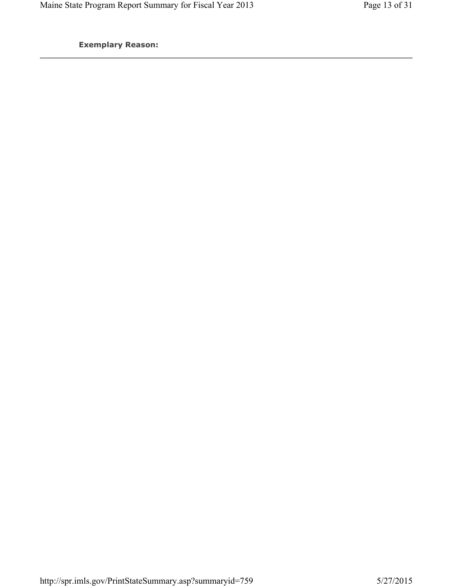**Exemplary Reason:**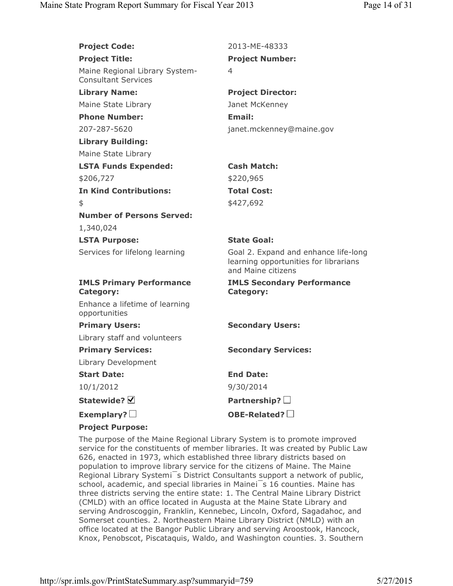| <b>Project Code:</b>                                         | 2013-ME-48333                                                                                       |
|--------------------------------------------------------------|-----------------------------------------------------------------------------------------------------|
| <b>Project Title:</b>                                        | <b>Project Number:</b>                                                                              |
| Maine Regional Library System-<br><b>Consultant Services</b> | 4                                                                                                   |
| <b>Library Name:</b>                                         | <b>Project Director:</b>                                                                            |
| Maine State Library                                          | Janet McKenney                                                                                      |
| <b>Phone Number:</b>                                         | Email:                                                                                              |
| 207-287-5620                                                 | janet.mckenney@maine.gov                                                                            |
| <b>Library Building:</b>                                     |                                                                                                     |
| Maine State Library                                          |                                                                                                     |
| <b>LSTA Funds Expended:</b>                                  | <b>Cash Match:</b>                                                                                  |
| \$206,727                                                    | \$220,965                                                                                           |
| <b>In Kind Contributions:</b>                                | <b>Total Cost:</b>                                                                                  |
| \$                                                           | \$427,692                                                                                           |
| <b>Number of Persons Served:</b>                             |                                                                                                     |
| 1,340,024                                                    |                                                                                                     |
| <b>LSTA Purpose:</b>                                         | <b>State Goal:</b>                                                                                  |
| Services for lifelong learning                               | Goal 2. Expand and enhance life-long<br>learning opportunities for librarians<br>and Maine citizens |
| <b>IMLS Primary Performance</b><br><b>Category:</b>          | <b>IMLS Secondary Performance</b><br><b>Category:</b>                                               |
| Enhance a lifetime of learning<br>opportunities              |                                                                                                     |
| <b>Primary Users:</b>                                        | <b>Secondary Users:</b>                                                                             |
| Library staff and volunteers                                 |                                                                                                     |
| <b>Primary Services:</b>                                     | <b>Secondary Services:</b>                                                                          |
| Library Development                                          |                                                                                                     |
| <b>Start Date:</b>                                           | <b>End Date:</b>                                                                                    |
| 10/1/2012                                                    | 9/30/2014                                                                                           |
| Statewide? Ø                                                 | Partnership? $\square$                                                                              |
| Exemplary? $\square$                                         | OBE-Related?                                                                                        |
| <b>Project Purpose:</b>                                      |                                                                                                     |

The purpose of the Maine Regional Library System is to promote improved service for the constituents of member libraries. It was created by Public Law 626, enacted in 1973, which established three library districts based on population to improve library service for the citizens of Maine. The Maine Regional Library Systemi<sup>5</sup>s District Consultants support a network of public, school, academic, and special libraries in Maineis 16 counties. Maine has three districts serving the entire state: 1. The Central Maine Library District (CMLD) with an office located in Augusta at the Maine State Library and serving Androscoggin, Franklin, Kennebec, Lincoln, Oxford, Sagadahoc, and Somerset counties. 2. Northeastern Maine Library District (NMLD) with an office located at the Bangor Public Library and serving Aroostook, Hancock, Knox, Penobscot, Piscataquis, Waldo, and Washington counties. 3. Southern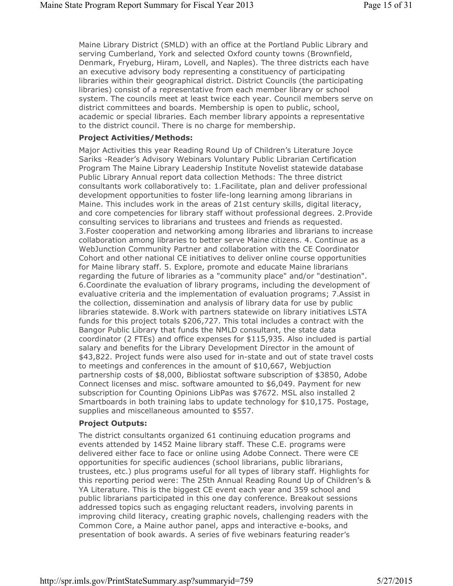Maine Library District (SMLD) with an office at the Portland Public Library and serving Cumberland, York and selected Oxford county towns (Brownfield, Denmark, Fryeburg, Hiram, Lovell, and Naples). The three districts each have an executive advisory body representing a constituency of participating libraries within their geographical district. District Councils (the participating libraries) consist of a representative from each member library or school system. The councils meet at least twice each year. Council members serve on district committees and boards. Membership is open to public, school, academic or special libraries. Each member library appoints a representative to the district council. There is no charge for membership.

#### **Project Activities/Methods:**

Major Activities this year Reading Round Up of Children's Literature Joyce Sariks -Reader's Advisory Webinars Voluntary Public Librarian Certification Program The Maine Library Leadership Institute Novelist statewide database Public Library Annual report data collection Methods: The three district consultants work collaboratively to: 1.Facilitate, plan and deliver professional development opportunities to foster life-long learning among librarians in Maine. This includes work in the areas of 21st century skills, digital literacy, and core competencies for library staff without professional degrees. 2.Provide consulting services to librarians and trustees and friends as requested. 3.Foster cooperation and networking among libraries and librarians to increase collaboration among libraries to better serve Maine citizens. 4. Continue as a WebJunction Community Partner and collaboration with the CE Coordinator Cohort and other national CE initiatives to deliver online course opportunities for Maine library staff. 5. Explore, promote and educate Maine librarians regarding the future of libraries as a "community place" and/or "destination". 6.Coordinate the evaluation of library programs, including the development of evaluative criteria and the implementation of evaluation programs; 7.Assist in the collection, dissemination and analysis of library data for use by public libraries statewide. 8.Work with partners statewide on library initiatives LSTA funds for this project totals \$206,727. This total includes a contract with the Bangor Public Library that funds the NMLD consultant, the state data coordinator (2 FTEs) and office expenses for \$115,935. Also included is partial salary and benefits for the Library Development Director in the amount of \$43,822. Project funds were also used for in-state and out of state travel costs to meetings and conferences in the amount of \$10,667, Webjuction partnership costs of \$8,000, Bibliostat software subscription of \$3850, Adobe Connect licenses and misc. software amounted to \$6,049. Payment for new subscription for Counting Opinions LibPas was \$7672. MSL also installed 2 Smartboards in both training labs to update technology for \$10,175. Postage, supplies and miscellaneous amounted to \$557.

## **Project Outputs:**

The district consultants organized 61 continuing education programs and events attended by 1452 Maine library staff. These C.E. programs were delivered either face to face or online using Adobe Connect. There were CE opportunities for specific audiences (school librarians, public librarians, trustees, etc.) plus programs useful for all types of library staff. Highlights for this reporting period were: The 25th Annual Reading Round Up of Children's & YA Literature. This is the biggest CE event each year and 359 school and public librarians participated in this one day conference. Breakout sessions addressed topics such as engaging reluctant readers, involving parents in improving child literacy, creating graphic novels, challenging readers with the Common Core, a Maine author panel, apps and interactive e-books, and presentation of book awards. A series of five webinars featuring reader's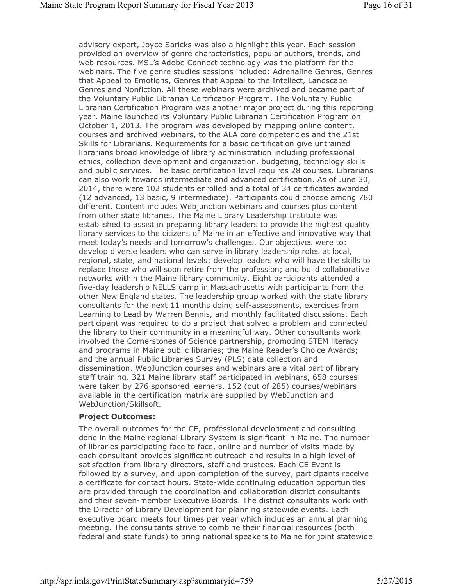advisory expert, Joyce Saricks was also a highlight this year. Each session provided an overview of genre characteristics, popular authors, trends, and web resources. MSL's Adobe Connect technology was the platform for the webinars. The five genre studies sessions included: Adrenaline Genres, Genres that Appeal to Emotions, Genres that Appeal to the Intellect, Landscape Genres and Nonfiction. All these webinars were archived and became part of the Voluntary Public Librarian Certification Program. The Voluntary Public Librarian Certification Program was another major project during this reporting year. Maine launched its Voluntary Public Librarian Certification Program on October 1, 2013. The program was developed by mapping online content, courses and archived webinars, to the ALA core competencies and the 21st Skills for Librarians. Requirements for a basic certification give untrained librarians broad knowledge of library administration including professional ethics, collection development and organization, budgeting, technology skills and public services. The basic certification level requires 28 courses. Librarians can also work towards intermediate and advanced certification. As of June 30, 2014, there were 102 students enrolled and a total of 34 certificates awarded (12 advanced, 13 basic, 9 intermediate). Participants could choose among 780 different. Content includes Webjunction webinars and courses plus content from other state libraries. The Maine Library Leadership Institute was established to assist in preparing library leaders to provide the highest quality library services to the citizens of Maine in an effective and innovative way that meet today's needs and tomorrow's challenges. Our objectives were to: develop diverse leaders who can serve in library leadership roles at local, regional, state, and national levels; develop leaders who will have the skills to replace those who will soon retire from the profession; and build collaborative networks within the Maine library community. Eight participants attended a five-day leadership NELLS camp in Massachusetts with participants from the other New England states. The leadership group worked with the state library consultants for the next 11 months doing self-assessments, exercises from Learning to Lead by Warren Bennis, and monthly facilitated discussions. Each participant was required to do a project that solved a problem and connected the library to their community in a meaningful way. Other consultants work involved the Cornerstones of Science partnership, promoting STEM literacy and programs in Maine public libraries; the Maine Reader's Choice Awards; and the annual Public Libraries Survey (PLS) data collection and dissemination. WebJunction courses and webinars are a vital part of library staff training. 321 Maine library staff participated in webinars, 658 courses were taken by 276 sponsored learners. 152 (out of 285) courses/webinars available in the certification matrix are supplied by WebJunction and WebJunction/Skillsoft.

## **Project Outcomes:**

The overall outcomes for the CE, professional development and consulting done in the Maine regional Library System is significant in Maine. The number of libraries participating face to face, online and number of visits made by each consultant provides significant outreach and results in a high level of satisfaction from library directors, staff and trustees. Each CE Event is followed by a survey, and upon completion of the survey, participants receive a certificate for contact hours. State-wide continuing education opportunities are provided through the coordination and collaboration district consultants and their seven-member Executive Boards. The district consultants work with the Director of Library Development for planning statewide events. Each executive board meets four times per year which includes an annual planning meeting. The consultants strive to combine their financial resources (both federal and state funds) to bring national speakers to Maine for joint statewide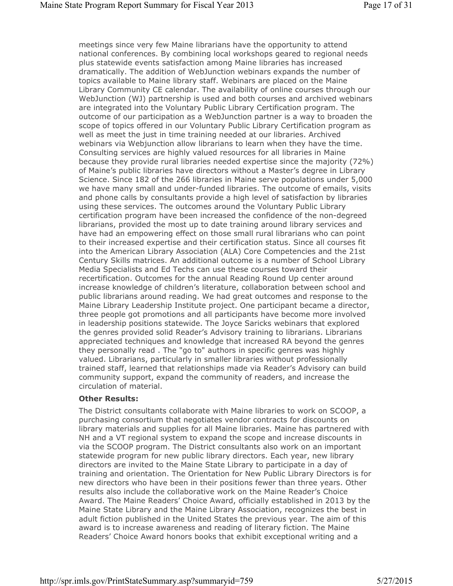meetings since very few Maine librarians have the opportunity to attend national conferences. By combining local workshops geared to regional needs plus statewide events satisfaction among Maine libraries has increased dramatically. The addition of WebJunction webinars expands the number of topics available to Maine library staff. Webinars are placed on the Maine Library Community CE calendar. The availability of online courses through our WebJunction (WJ) partnership is used and both courses and archived webinars are integrated into the Voluntary Public Library Certification program. The outcome of our participation as a WebJunction partner is a way to broaden the scope of topics offered in our Voluntary Public Library Certification program as well as meet the just in time training needed at our libraries. Archived webinars via Webjunction allow librarians to learn when they have the time. Consulting services are highly valued resources for all libraries in Maine because they provide rural libraries needed expertise since the majority (72%) of Maine's public libraries have directors without a Master's degree in Library Science. Since 182 of the 266 libraries in Maine serve populations under 5,000 we have many small and under-funded libraries. The outcome of emails, visits and phone calls by consultants provide a high level of satisfaction by libraries using these services. The outcomes around the Voluntary Public Library certification program have been increased the confidence of the non-degreed librarians, provided the most up to date training around library services and have had an empowering effect on those small rural librarians who can point to their increased expertise and their certification status. Since all courses fit into the American Library Association (ALA) Core Competencies and the 21st Century Skills matrices. An additional outcome is a number of School Library Media Specialists and Ed Techs can use these courses toward their recertification. Outcomes for the annual Reading Round Up center around increase knowledge of children's literature, collaboration between school and public librarians around reading. We had great outcomes and response to the Maine Library Leadership Institute project. One participant became a director, three people got promotions and all participants have become more involved in leadership positions statewide. The Joyce Saricks webinars that explored the genres provided solid Reader's Advisory training to librarians. Librarians appreciated techniques and knowledge that increased RA beyond the genres they personally read . The "go to" authors in specific genres was highly valued. Librarians, particularly in smaller libraries without professionally trained staff, learned that relationships made via Reader's Advisory can build community support, expand the community of readers, and increase the circulation of material.

## **Other Results:**

The District consultants collaborate with Maine libraries to work on SCOOP, a purchasing consortium that negotiates vendor contracts for discounts on library materials and supplies for all Maine libraries. Maine has partnered with NH and a VT regional system to expand the scope and increase discounts in via the SCOOP program. The District consultants also work on an important statewide program for new public library directors. Each year, new library directors are invited to the Maine State Library to participate in a day of training and orientation. The Orientation for New Public Library Directors is for new directors who have been in their positions fewer than three years. Other results also include the collaborative work on the Maine Reader's Choice Award. The Maine Readers' Choice Award, officially established in 2013 by the Maine State Library and the Maine Library Association, recognizes the best in adult fiction published in the United States the previous year. The aim of this award is to increase awareness and reading of literary fiction. The Maine Readers' Choice Award honors books that exhibit exceptional writing and a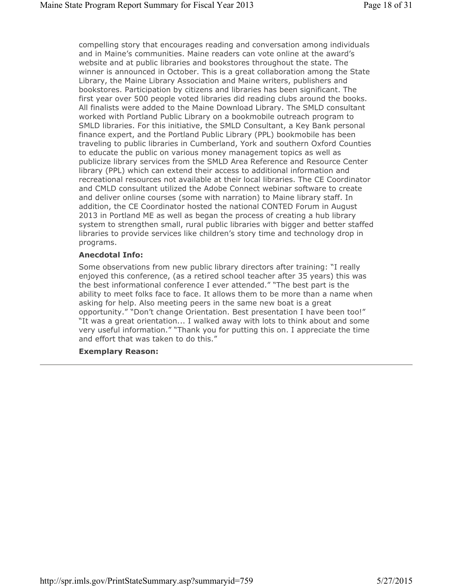compelling story that encourages reading and conversation among individuals and in Maine's communities. Maine readers can vote online at the award's website and at public libraries and bookstores throughout the state. The winner is announced in October. This is a great collaboration among the State Library, the Maine Library Association and Maine writers, publishers and bookstores. Participation by citizens and libraries has been significant. The first year over 500 people voted libraries did reading clubs around the books. All finalists were added to the Maine Download Library. The SMLD consultant worked with Portland Public Library on a bookmobile outreach program to SMLD libraries. For this initiative, the SMLD Consultant, a Key Bank personal finance expert, and the Portland Public Library (PPL) bookmobile has been traveling to public libraries in Cumberland, York and southern Oxford Counties to educate the public on various money management topics as well as publicize library services from the SMLD Area Reference and Resource Center library (PPL) which can extend their access to additional information and recreational resources not available at their local libraries. The CE Coordinator and CMLD consultant utilized the Adobe Connect webinar software to create and deliver online courses (some with narration) to Maine library staff. In addition, the CE Coordinator hosted the national CONTED Forum in August 2013 in Portland ME as well as began the process of creating a hub library system to strengthen small, rural public libraries with bigger and better staffed libraries to provide services like children's story time and technology drop in programs.

## **Anecdotal Info:**

Some observations from new public library directors after training: "I really enjoyed this conference, (as a retired school teacher after 35 years) this was the best informational conference I ever attended." "The best part is the ability to meet folks face to face. It allows them to be more than a name when asking for help. Also meeting peers in the same new boat is a great opportunity." "Don't change Orientation. Best presentation I have been too!" "It was a great orientation... I walked away with lots to think about and some very useful information." "Thank you for putting this on. I appreciate the time and effort that was taken to do this."

## **Exemplary Reason:**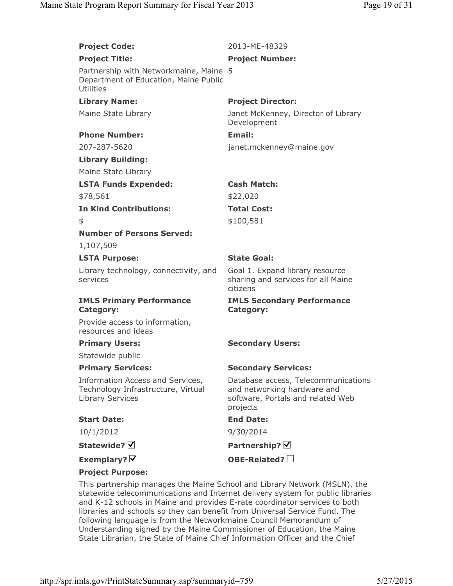**Project Code:** 2013-ME-48329

| <b>Project Title:</b>                                                                               | <b>Project Number:</b>                                                                                              |
|-----------------------------------------------------------------------------------------------------|---------------------------------------------------------------------------------------------------------------------|
| Partnership with Networkmaine, Maine 5<br>Department of Education, Maine Public<br><b>Utilities</b> |                                                                                                                     |
| <b>Library Name:</b>                                                                                | <b>Project Director:</b>                                                                                            |
| Maine State Library                                                                                 | Janet McKenney, Director of Library<br>Development                                                                  |
| <b>Phone Number:</b>                                                                                | Email:                                                                                                              |
| 207-287-5620                                                                                        | janet.mckenney@maine.gov                                                                                            |
| <b>Library Building:</b>                                                                            |                                                                                                                     |
| Maine State Library                                                                                 |                                                                                                                     |
| <b>LSTA Funds Expended:</b>                                                                         | <b>Cash Match:</b>                                                                                                  |
| \$78,561                                                                                            | \$22,020                                                                                                            |
| <b>In Kind Contributions:</b>                                                                       | <b>Total Cost:</b>                                                                                                  |
| \$                                                                                                  | \$100,581                                                                                                           |
| <b>Number of Persons Served:</b>                                                                    |                                                                                                                     |
| 1,107,509                                                                                           |                                                                                                                     |
| <b>LSTA Purpose:</b>                                                                                | <b>State Goal:</b>                                                                                                  |
| Library technology, connectivity, and<br>services                                                   | Goal 1. Expand library resource<br>sharing and services for all Maine<br>citizens                                   |
| <b>IMLS Primary Performance</b><br>Category:                                                        | <b>IMLS Secondary Performance</b><br><b>Category:</b>                                                               |
| Provide access to information,<br>resources and ideas                                               |                                                                                                                     |
| <b>Primary Users:</b>                                                                               | <b>Secondary Users:</b>                                                                                             |
| Statewide public                                                                                    |                                                                                                                     |
| <b>Primary Services:</b>                                                                            | <b>Secondary Services:</b>                                                                                          |
| Information Access and Services,<br>Technology Infrastructure, Virtual<br><b>Library Services</b>   | Database access, Telecommunications<br>and networking hardware and<br>software, Portals and related Web<br>projects |
| <b>Start Date:</b>                                                                                  | <b>End Date:</b>                                                                                                    |
| 10/1/2012                                                                                           | 9/30/2014                                                                                                           |
| Statewide? $\boxtimes$                                                                              | Partnership? Ø                                                                                                      |
| Exemplary? $\boxtimes$                                                                              | OBE-Related?                                                                                                        |
| <b>Project Purpose:</b>                                                                             |                                                                                                                     |
|                                                                                                     | This partnership manages the Maine School and Library Network (MSLN) the                                            |

This partnership manages the Maine School and Library Network (MSLN), the statewide telecommunications and Internet delivery system for public libraries and K-12 schools in Maine and provides E-rate coordinator services to both libraries and schools so they can benefit from Universal Service Fund. The following language is from the Networkmaine Council Memorandum of Understanding signed by the Maine Commissioner of Education, the Maine State Librarian, the State of Maine Chief Information Officer and the Chief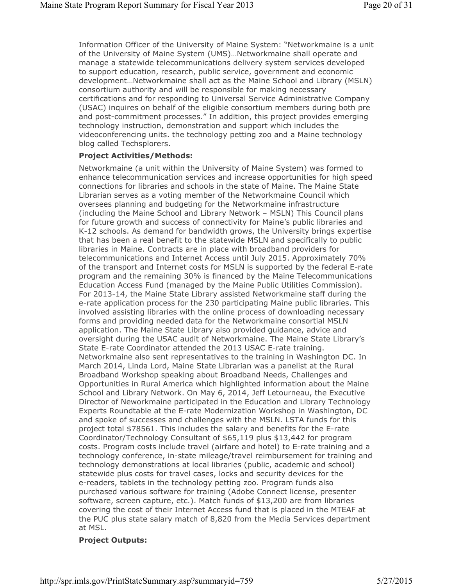Information Officer of the University of Maine System: "Networkmaine is a unit of the University of Maine System (UMS)…Networkmaine shall operate and manage a statewide telecommunications delivery system services developed to support education, research, public service, government and economic development…Networkmaine shall act as the Maine School and Library (MSLN) consortium authority and will be responsible for making necessary certifications and for responding to Universal Service Administrative Company (USAC) inquires on behalf of the eligible consortium members during both pre and post-commitment processes." In addition, this project provides emerging technology instruction, demonstration and support which includes the videoconferencing units. the technology petting zoo and a Maine technology blog called Techsplorers.

## **Project Activities/Methods:**

Networkmaine (a unit within the University of Maine System) was formed to enhance telecommunication services and increase opportunities for high speed connections for libraries and schools in the state of Maine. The Maine State Librarian serves as a voting member of the Networkmaine Council which oversees planning and budgeting for the Networkmaine infrastructure (including the Maine School and Library Network – MSLN) This Council plans for future growth and success of connectivity for Maine's public libraries and K-12 schools. As demand for bandwidth grows, the University brings expertise that has been a real benefit to the statewide MSLN and specifically to public libraries in Maine. Contracts are in place with broadband providers for telecommunications and Internet Access until July 2015. Approximately 70% of the transport and Internet costs for MSLN is supported by the federal E-rate program and the remaining 30% is financed by the Maine Telecommunications Education Access Fund (managed by the Maine Public Utilities Commission). For 2013-14, the Maine State Library assisted Networkmaine staff during the e-rate application process for the 230 participating Maine public libraries. This involved assisting libraries with the online process of downloading necessary forms and providing needed data for the Networkmaine consortial MSLN application. The Maine State Library also provided guidance, advice and oversight during the USAC audit of Networkmaine. The Maine State Library's State E-rate Coordinator attended the 2013 USAC E-rate training. Networkmaine also sent representatives to the training in Washington DC. In March 2014, Linda Lord, Maine State Librarian was a panelist at the Rural Broadband Workshop speaking about Broadband Needs, Challenges and Opportunities in Rural America which highlighted information about the Maine School and Library Network. On May 6, 2014, Jeff Letourneau, the Executive Director of Neworkmaine participated in the Education and Library Technology Experts Roundtable at the E-rate Modernization Workshop in Washington, DC and spoke of successes and challenges with the MSLN. LSTA funds for this project total \$78561. This includes the salary and benefits for the E-rate Coordinator/Technology Consultant of \$65,119 plus \$13,442 for program costs. Program costs include travel (airfare and hotel) to E-rate training and a technology conference, in-state mileage/travel reimbursement for training and technology demonstrations at local libraries (public, academic and school) statewide plus costs for travel cases, locks and security devices for the e-readers, tablets in the technology petting zoo. Program funds also purchased various software for training (Adobe Connect license, presenter software, screen capture, etc.). Match funds of \$13,200 are from libraries covering the cost of their Internet Access fund that is placed in the MTEAF at the PUC plus state salary match of 8,820 from the Media Services department at MSL.

## **Project Outputs:**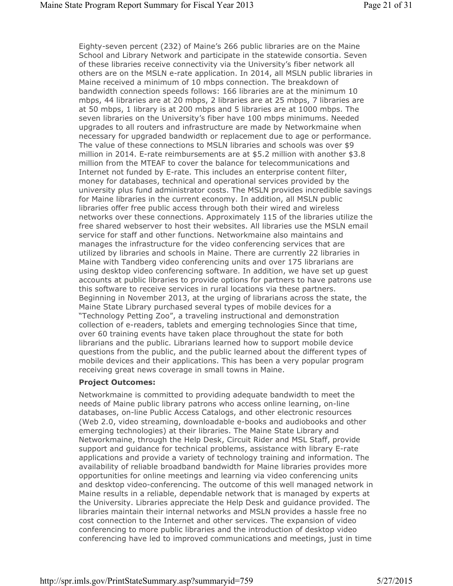Eighty-seven percent (232) of Maine's 266 public libraries are on the Maine School and Library Network and participate in the statewide consortia. Seven of these libraries receive connectivity via the University's fiber network all others are on the MSLN e-rate application. In 2014, all MSLN public libraries in Maine received a minimum of 10 mbps connection. The breakdown of bandwidth connection speeds follows: 166 libraries are at the minimum 10 mbps, 44 libraries are at 20 mbps, 2 libraries are at 25 mbps, 7 libraries are at 50 mbps, 1 library is at 200 mbps and 5 libraries are at 1000 mbps. The seven libraries on the University's fiber have 100 mbps minimums. Needed upgrades to all routers and infrastructure are made by Networkmaine when necessary for upgraded bandwidth or replacement due to age or performance. The value of these connections to MSLN libraries and schools was over \$9 million in 2014. E-rate reimbursements are at \$5.2 million with another \$3.8 million from the MTEAF to cover the balance for telecommunications and Internet not funded by E-rate. This includes an enterprise content filter, money for databases, technical and operational services provided by the university plus fund administrator costs. The MSLN provides incredible savings for Maine libraries in the current economy. In addition, all MSLN public libraries offer free public access through both their wired and wireless networks over these connections. Approximately 115 of the libraries utilize the free shared webserver to host their websites. All libraries use the MSLN email service for staff and other functions. Networkmaine also maintains and manages the infrastructure for the video conferencing services that are utilized by libraries and schools in Maine. There are currently 22 libraries in Maine with Tandberg video conferencing units and over 175 librarians are using desktop video conferencing software. In addition, we have set up guest accounts at public libraries to provide options for partners to have patrons use this software to receive services in rural locations via these partners. Beginning in November 2013, at the urging of librarians across the state, the Maine State Library purchased several types of mobile devices for a "Technology Petting Zoo", a traveling instructional and demonstration collection of e-readers, tablets and emerging technologies Since that time, over 60 training events have taken place throughout the state for both librarians and the public. Librarians learned how to support mobile device questions from the public, and the public learned about the different types of mobile devices and their applications. This has been a very popular program receiving great news coverage in small towns in Maine.

## **Project Outcomes:**

Networkmaine is committed to providing adequate bandwidth to meet the needs of Maine public library patrons who access online learning, on-line databases, on-line Public Access Catalogs, and other electronic resources (Web 2.0, video streaming, downloadable e-books and audiobooks and other emerging technologies) at their libraries. The Maine State Library and Networkmaine, through the Help Desk, Circuit Rider and MSL Staff, provide support and guidance for technical problems, assistance with library E-rate applications and provide a variety of technology training and information. The availability of reliable broadband bandwidth for Maine libraries provides more opportunities for online meetings and learning via video conferencing units and desktop video-conferencing. The outcome of this well managed network in Maine results in a reliable, dependable network that is managed by experts at the University. Libraries appreciate the Help Desk and guidance provided. The libraries maintain their internal networks and MSLN provides a hassle free no cost connection to the Internet and other services. The expansion of video conferencing to more public libraries and the introduction of desktop video conferencing have led to improved communications and meetings, just in time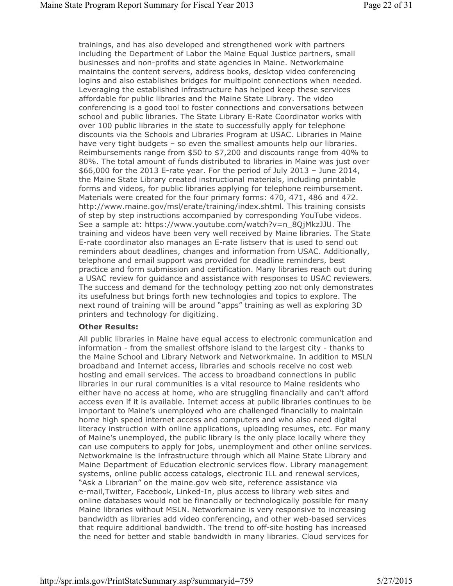trainings, and has also developed and strengthened work with partners including the Department of Labor the Maine Equal Justice partners, small businesses and non-profits and state agencies in Maine. Networkmaine maintains the content servers, address books, desktop video conferencing logins and also establishes bridges for multipoint connections when needed. Leveraging the established infrastructure has helped keep these services affordable for public libraries and the Maine State Library. The video conferencing is a good tool to foster connections and conversations between school and public libraries. The State Library E-Rate Coordinator works with over 100 public libraries in the state to successfully apply for telephone discounts via the Schools and Libraries Program at USAC. Libraries in Maine have very tight budgets – so even the smallest amounts help our libraries. Reimbursements range from \$50 to \$7,200 and discounts range from 40% to 80%. The total amount of funds distributed to libraries in Maine was just over \$66,000 for the 2013 E-rate year. For the period of July 2013 – June 2014, the Maine State Library created instructional materials, including printable forms and videos, for public libraries applying for telephone reimbursement. Materials were created for the four primary forms: 470, 471, 486 and 472. http://www.maine.gov/msl/erate/training/index.shtml. This training consists of step by step instructions accompanied by corresponding YouTube videos. See a sample at: https://www.youtube.com/watch?v=n\_8QjMkzJJU. The training and videos have been very well received by Maine libraries. The State E-rate coordinator also manages an E-rate listserv that is used to send out reminders about deadlines, changes and information from USAC. Additionally, telephone and email support was provided for deadline reminders, best practice and form submission and certification. Many libraries reach out during a USAC review for guidance and assistance with responses to USAC reviewers. The success and demand for the technology petting zoo not only demonstrates its usefulness but brings forth new technologies and topics to explore. The next round of training will be around "apps" training as well as exploring 3D printers and technology for digitizing.

#### **Other Results:**

All public libraries in Maine have equal access to electronic communication and information - from the smallest offshore island to the largest city - thanks to the Maine School and Library Network and Networkmaine. In addition to MSLN broadband and Internet access, libraries and schools receive no cost web hosting and email services. The access to broadband connections in public libraries in our rural communities is a vital resource to Maine residents who either have no access at home, who are struggling financially and can't afford access even if it is available. Internet access at public libraries continues to be important to Maine's unemployed who are challenged financially to maintain home high speed internet access and computers and who also need digital literacy instruction with online applications, uploading resumes, etc. For many of Maine's unemployed, the public library is the only place locally where they can use computers to apply for jobs, unemployment and other online services. Networkmaine is the infrastructure through which all Maine State Library and Maine Department of Education electronic services flow. Library management systems, online public access catalogs, electronic ILL and renewal services, "Ask a Librarian" on the maine.gov web site, reference assistance via e-mail,Twitter, Facebook, Linked-In, plus access to library web sites and online databases would not be financially or technologically possible for many Maine libraries without MSLN. Networkmaine is very responsive to increasing bandwidth as libraries add video conferencing, and other web-based services that require additional bandwidth. The trend to off-site hosting has increased the need for better and stable bandwidth in many libraries. Cloud services for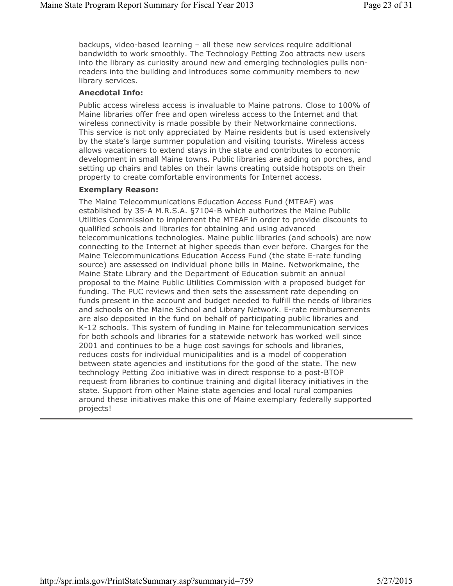backups, video-based learning – all these new services require additional bandwidth to work smoothly. The Technology Petting Zoo attracts new users into the library as curiosity around new and emerging technologies pulls nonreaders into the building and introduces some community members to new library services.

#### **Anecdotal Info:**

Public access wireless access is invaluable to Maine patrons. Close to 100% of Maine libraries offer free and open wireless access to the Internet and that wireless connectivity is made possible by their Networkmaine connections. This service is not only appreciated by Maine residents but is used extensively by the state's large summer population and visiting tourists. Wireless access allows vacationers to extend stays in the state and contributes to economic development in small Maine towns. Public libraries are adding on porches, and setting up chairs and tables on their lawns creating outside hotspots on their property to create comfortable environments for Internet access.

#### **Exemplary Reason:**

The Maine Telecommunications Education Access Fund (MTEAF) was established by 35-A M.R.S.A. §7104-B which authorizes the Maine Public Utilities Commission to implement the MTEAF in order to provide discounts to qualified schools and libraries for obtaining and using advanced telecommunications technologies. Maine public libraries (and schools) are now connecting to the Internet at higher speeds than ever before. Charges for the Maine Telecommunications Education Access Fund (the state E-rate funding source) are assessed on individual phone bills in Maine. Networkmaine, the Maine State Library and the Department of Education submit an annual proposal to the Maine Public Utilities Commission with a proposed budget for funding. The PUC reviews and then sets the assessment rate depending on funds present in the account and budget needed to fulfill the needs of libraries and schools on the Maine School and Library Network. E-rate reimbursements are also deposited in the fund on behalf of participating public libraries and K-12 schools. This system of funding in Maine for telecommunication services for both schools and libraries for a statewide network has worked well since 2001 and continues to be a huge cost savings for schools and libraries, reduces costs for individual municipalities and is a model of cooperation between state agencies and institutions for the good of the state. The new technology Petting Zoo initiative was in direct response to a post-BTOP request from libraries to continue training and digital literacy initiatives in the state. Support from other Maine state agencies and local rural companies around these initiatives make this one of Maine exemplary federally supported projects!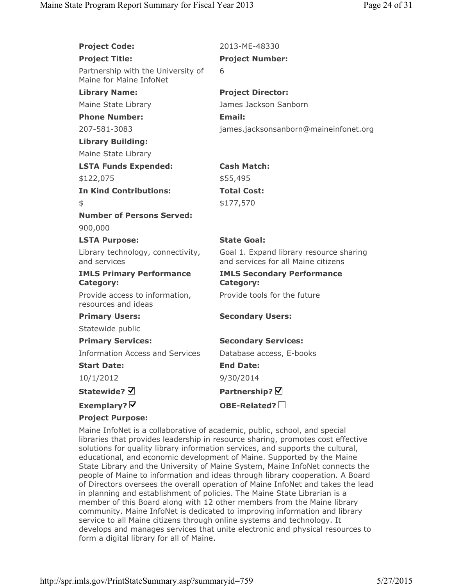| <b>Project Code:</b>                                          | 2013-ME-48330                                                                  |
|---------------------------------------------------------------|--------------------------------------------------------------------------------|
| <b>Project Title:</b>                                         | <b>Project Number:</b>                                                         |
| Partnership with the University of<br>Maine for Maine InfoNet | 6                                                                              |
| <b>Library Name:</b>                                          | <b>Project Director:</b>                                                       |
| Maine State Library                                           | James Jackson Sanborn                                                          |
| <b>Phone Number:</b>                                          | Email:                                                                         |
| 207-581-3083                                                  | james.jacksonsanborn@maineinfonet.org                                          |
| <b>Library Building:</b>                                      |                                                                                |
| Maine State Library                                           |                                                                                |
| <b>LSTA Funds Expended:</b>                                   | <b>Cash Match:</b>                                                             |
| \$122,075                                                     | \$55,495                                                                       |
| <b>In Kind Contributions:</b>                                 | <b>Total Cost:</b>                                                             |
| \$                                                            | \$177,570                                                                      |
| <b>Number of Persons Served:</b>                              |                                                                                |
| 900,000                                                       |                                                                                |
| <b>LSTA Purpose:</b>                                          | <b>State Goal:</b>                                                             |
| Library technology, connectivity,<br>and services             | Goal 1. Expand library resource sharing<br>and services for all Maine citizens |
| <b>IMLS Primary Performance</b><br><b>Category:</b>           | <b>IMLS Secondary Performance</b><br><b>Category:</b>                          |
| Provide access to information,<br>resources and ideas         | Provide tools for the future                                                   |
| <b>Primary Users:</b>                                         | <b>Secondary Users:</b>                                                        |
| Statewide public                                              |                                                                                |
| <b>Primary Services:</b>                                      | <b>Secondary Services:</b>                                                     |
| <b>Information Access and Services</b>                        | Database access, E-books                                                       |
| <b>Start Date:</b>                                            | <b>End Date:</b>                                                               |
| 10/1/2012                                                     | 9/30/2014                                                                      |
| Statewide? Ø                                                  | Partnership? Ø                                                                 |
| Exemplary? $\triangledown$                                    | OBE-Related? $\square$                                                         |
| <b>Project Purpose:</b>                                       |                                                                                |

Maine InfoNet is a collaborative of academic, public, school, and special libraries that provides leadership in resource sharing, promotes cost effective solutions for quality library information services, and supports the cultural, educational, and economic development of Maine. Supported by the Maine State Library and the University of Maine System, Maine InfoNet connects the people of Maine to information and ideas through library cooperation. A Board of Directors oversees the overall operation of Maine InfoNet and takes the lead in planning and establishment of policies. The Maine State Librarian is a member of this Board along with 12 other members from the Maine library community. Maine InfoNet is dedicated to improving information and library service to all Maine citizens through online systems and technology. It develops and manages services that unite electronic and physical resources to form a digital library for all of Maine.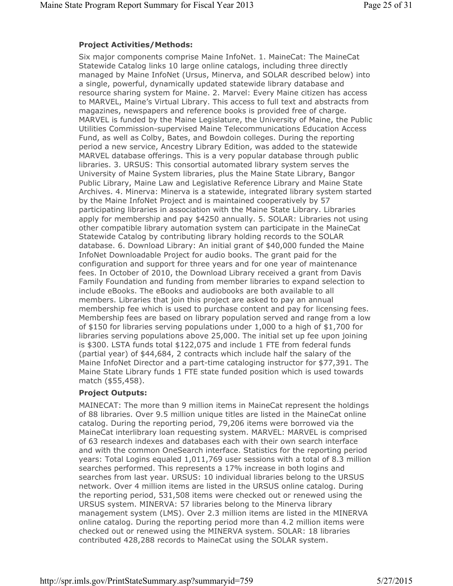## **Project Activities/Methods:**

Six major components comprise Maine InfoNet. 1. MaineCat: The MaineCat Statewide Catalog links 10 large online catalogs, including three directly managed by Maine InfoNet (Ursus, Minerva, and SOLAR described below) into a single, powerful, dynamically updated statewide library database and resource sharing system for Maine. 2. Marvel: Every Maine citizen has access to MARVEL, Maine's Virtual Library. This access to full text and abstracts from magazines, newspapers and reference books is provided free of charge. MARVEL is funded by the Maine Legislature, the University of Maine, the Public Utilities Commission-supervised Maine Telecommunications Education Access Fund, as well as Colby, Bates, and Bowdoin colleges. During the reporting period a new service, Ancestry Library Edition, was added to the statewide MARVEL database offerings. This is a very popular database through public libraries. 3. URSUS: This consortial automated library system serves the University of Maine System libraries, plus the Maine State Library, Bangor Public Library, Maine Law and Legislative Reference Library and Maine State Archives. 4. Minerva: Minerva is a statewide, integrated library system started by the Maine InfoNet Project and is maintained cooperatively by 57 participating libraries in association with the Maine State Library. Libraries apply for membership and pay \$4250 annually. 5. SOLAR: Libraries not using other compatible library automation system can participate in the MaineCat Statewide Catalog by contributing library holding records to the SOLAR database. 6. Download Library: An initial grant of \$40,000 funded the Maine InfoNet Downloadable Project for audio books. The grant paid for the configuration and support for three years and for one year of maintenance fees. In October of 2010, the Download Library received a grant from Davis Family Foundation and funding from member libraries to expand selection to include eBooks. The eBooks and audiobooks are both available to all members. Libraries that join this project are asked to pay an annual membership fee which is used to purchase content and pay for licensing fees. Membership fees are based on library population served and range from a low of \$150 for libraries serving populations under 1,000 to a high of \$1,700 for libraries serving populations above 25,000. The initial set up fee upon joining is \$300. LSTA funds total \$122,075 and include 1 FTE from federal funds (partial year) of \$44,684, 2 contracts which include half the salary of the Maine InfoNet Director and a part-time cataloging instructor for \$77,391. The Maine State Library funds 1 FTE state funded position which is used towards match (\$55,458).

# **Project Outputs:**

MAINECAT: The more than 9 million items in MaineCat represent the holdings of 88 libraries. Over 9.5 million unique titles are listed in the MaineCat online catalog. During the reporting period, 79,206 items were borrowed via the MaineCat interlibrary loan requesting system. MARVEL: MARVEL is comprised of 63 research indexes and databases each with their own search interface and with the common OneSearch interface. Statistics for the reporting period years: Total Logins equaled 1,011,769 user sessions with a total of 8.3 million searches performed. This represents a 17% increase in both logins and searches from last year. URSUS: 10 individual libraries belong to the URSUS network. Over 4 million items are listed in the URSUS online catalog. During the reporting period, 531,508 items were checked out or renewed using the URSUS system. MINERVA: 57 libraries belong to the Minerva library management system (LMS). Over 2.3 million items are listed in the MINERVA online catalog. During the reporting period more than 4.2 million items were checked out or renewed using the MINERVA system. SOLAR: 18 libraries contributed 428,288 records to MaineCat using the SOLAR system.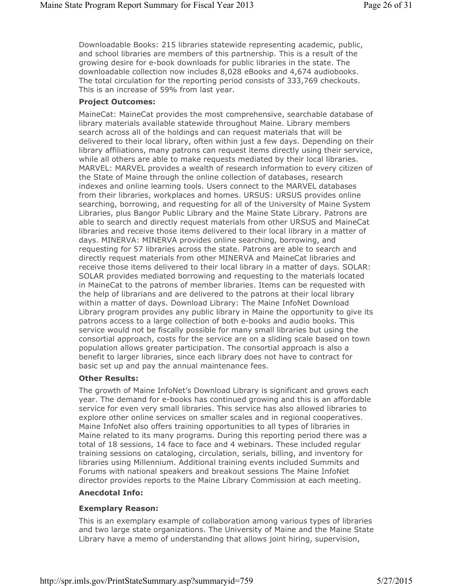Downloadable Books: 215 libraries statewide representing academic, public, and school libraries are members of this partnership. This is a result of the growing desire for e-book downloads for public libraries in the state. The downloadable collection now includes 8,028 eBooks and 4,674 audiobooks. The total circulation for the reporting period consists of 333,769 checkouts. This is an increase of 59% from last year.

## **Project Outcomes:**

MaineCat: MaineCat provides the most comprehensive, searchable database of library materials available statewide throughout Maine. Library members search across all of the holdings and can request materials that will be delivered to their local library, often within just a few days. Depending on their library affiliations, many patrons can request items directly using their service, while all others are able to make requests mediated by their local libraries. MARVEL: MARVEL provides a wealth of research information to every citizen of the State of Maine through the online collection of databases, research indexes and online learning tools. Users connect to the MARVEL databases from their libraries, workplaces and homes. URSUS: URSUS provides online searching, borrowing, and requesting for all of the University of Maine System Libraries, plus Bangor Public Library and the Maine State Library. Patrons are able to search and directly request materials from other URSUS and MaineCat libraries and receive those items delivered to their local library in a matter of days. MINERVA: MINERVA provides online searching, borrowing, and requesting for 57 libraries across the state. Patrons are able to search and directly request materials from other MINERVA and MaineCat libraries and receive those items delivered to their local library in a matter of days. SOLAR: SOLAR provides mediated borrowing and requesting to the materials located in MaineCat to the patrons of member libraries. Items can be requested with the help of librarians and are delivered to the patrons at their local library within a matter of days. Download Library: The Maine InfoNet Download Library program provides any public library in Maine the opportunity to give its patrons access to a large collection of both e-books and audio books. This service would not be fiscally possible for many small libraries but using the consortial approach, costs for the service are on a sliding scale based on town population allows greater participation. The consortial approach is also a benefit to larger libraries, since each library does not have to contract for basic set up and pay the annual maintenance fees.

## **Other Results:**

The growth of Maine InfoNet's Download Library is significant and grows each year. The demand for e-books has continued growing and this is an affordable service for even very small libraries. This service has also allowed libraries to explore other online services on smaller scales and in regional cooperatives. Maine InfoNet also offers training opportunities to all types of libraries in Maine related to its many programs. During this reporting period there was a total of 18 sessions, 14 face to face and 4 webinars. These included regular training sessions on cataloging, circulation, serials, billing, and inventory for libraries using Millennium. Additional training events included Summits and Forums with national speakers and breakout sessions The Maine InfoNet director provides reports to the Maine Library Commission at each meeting.

## **Anecdotal Info:**

# **Exemplary Reason:**

This is an exemplary example of collaboration among various types of libraries and two large state organizations. The University of Maine and the Maine State Library have a memo of understanding that allows joint hiring, supervision,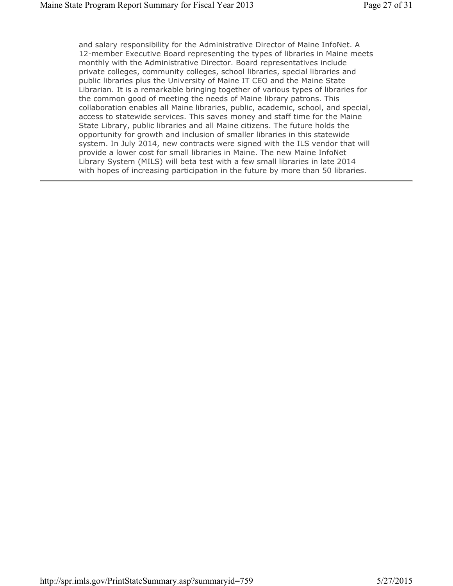and salary responsibility for the Administrative Director of Maine InfoNet. A 12-member Executive Board representing the types of libraries in Maine meets monthly with the Administrative Director. Board representatives include private colleges, community colleges, school libraries, special libraries and public libraries plus the University of Maine IT CEO and the Maine State Librarian. It is a remarkable bringing together of various types of libraries for the common good of meeting the needs of Maine library patrons. This collaboration enables all Maine libraries, public, academic, school, and special, access to statewide services. This saves money and staff time for the Maine State Library, public libraries and all Maine citizens. The future holds the opportunity for growth and inclusion of smaller libraries in this statewide system. In July 2014, new contracts were signed with the ILS vendor that will provide a lower cost for small libraries in Maine. The new Maine InfoNet Library System (MILS) will beta test with a few small libraries in late 2014 with hopes of increasing participation in the future by more than 50 libraries.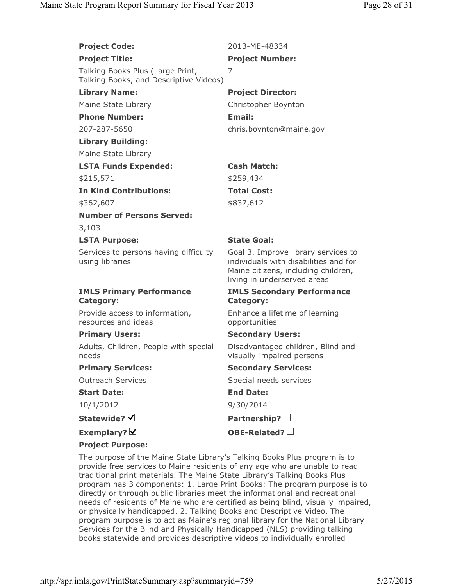| <b>Project Code:</b>                                                       | 2013-ME-48334                                                                                                                                      |
|----------------------------------------------------------------------------|----------------------------------------------------------------------------------------------------------------------------------------------------|
| <b>Project Title:</b>                                                      | <b>Project Number:</b>                                                                                                                             |
| Talking Books Plus (Large Print,<br>Talking Books, and Descriptive Videos) | 7                                                                                                                                                  |
| <b>Library Name:</b>                                                       | <b>Project Director:</b>                                                                                                                           |
| Maine State Library                                                        | Christopher Boynton                                                                                                                                |
| <b>Phone Number:</b>                                                       | Email:                                                                                                                                             |
| 207-287-5650                                                               | chris.boynton@maine.gov                                                                                                                            |
| <b>Library Building:</b>                                                   |                                                                                                                                                    |
| Maine State Library                                                        |                                                                                                                                                    |
| <b>LSTA Funds Expended:</b>                                                | <b>Cash Match:</b>                                                                                                                                 |
| \$215,571                                                                  | \$259,434                                                                                                                                          |
| <b>In Kind Contributions:</b>                                              | <b>Total Cost:</b>                                                                                                                                 |
| \$362,607                                                                  | \$837,612                                                                                                                                          |
| <b>Number of Persons Served:</b>                                           |                                                                                                                                                    |
| 3,103                                                                      |                                                                                                                                                    |
| <b>LSTA Purpose:</b>                                                       | <b>State Goal:</b>                                                                                                                                 |
| Services to persons having difficulty<br>using libraries                   | Goal 3. Improve library services to<br>individuals with disabilities and for<br>Maine citizens, including children,<br>living in underserved areas |
| <b>IMLS Primary Performance</b><br><b>Category:</b>                        | <b>IMLS Secondary Performance</b><br><b>Category:</b>                                                                                              |
| Provide access to information,<br>resources and ideas                      | Enhance a lifetime of learning<br>opportunities                                                                                                    |
| <b>Primary Users:</b>                                                      | <b>Secondary Users:</b>                                                                                                                            |
| Adults, Children, People with special<br>needs                             | Disadvantaged children, Blind and<br>visually-impaired persons                                                                                     |
| <b>Primary Services:</b>                                                   | <b>Secondary Services:</b>                                                                                                                         |
| <b>Outreach Services</b>                                                   | Special needs services                                                                                                                             |
| <b>Start Date:</b>                                                         | <b>End Date:</b>                                                                                                                                   |
| 10/1/2012                                                                  | 9/30/2014                                                                                                                                          |
| Statewide? $\nabla$                                                        | Partnership? $\Box$                                                                                                                                |
| Exemplary? $\overline{\mathsf{y}}$                                         | OBE-Related? $\square$                                                                                                                             |
| <b>Project Purpose:</b>                                                    |                                                                                                                                                    |

The purpose of the Maine State Library's Talking Books Plus program is to provide free services to Maine residents of any age who are unable to read traditional print materials. The Maine State Library's Talking Books Plus program has 3 components: 1. Large Print Books: The program purpose is to directly or through public libraries meet the informational and recreational needs of residents of Maine who are certified as being blind, visually impaired, or physically handicapped. 2. Talking Books and Descriptive Video. The program purpose is to act as Maine's regional library for the National Library Services for the Blind and Physically Handicapped (NLS) providing talking books statewide and provides descriptive videos to individually enrolled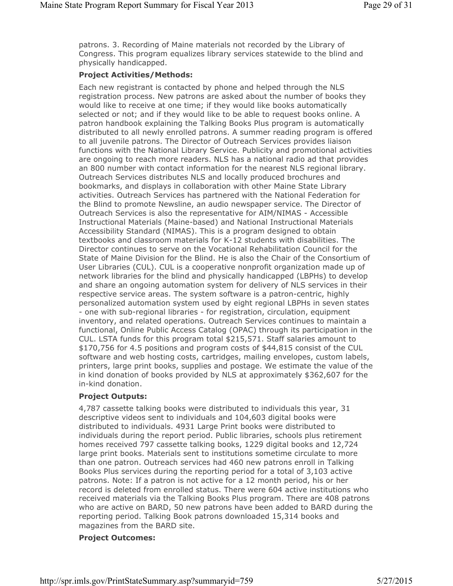patrons. 3. Recording of Maine materials not recorded by the Library of Congress. This program equalizes library services statewide to the blind and physically handicapped.

## **Project Activities/Methods:**

Each new registrant is contacted by phone and helped through the NLS registration process. New patrons are asked about the number of books they would like to receive at one time; if they would like books automatically selected or not; and if they would like to be able to request books online. A patron handbook explaining the Talking Books Plus program is automatically distributed to all newly enrolled patrons. A summer reading program is offered to all juvenile patrons. The Director of Outreach Services provides liaison functions with the National Library Service. Publicity and promotional activities are ongoing to reach more readers. NLS has a national radio ad that provides an 800 number with contact information for the nearest NLS regional library. Outreach Services distributes NLS and locally produced brochures and bookmarks, and displays in collaboration with other Maine State Library activities. Outreach Services has partnered with the National Federation for the Blind to promote Newsline, an audio newspaper service. The Director of Outreach Services is also the representative for AIM/NIMAS - Accessible Instructional Materials (Maine-based) and National Instructional Materials Accessibility Standard (NIMAS). This is a program designed to obtain textbooks and classroom materials for K-12 students with disabilities. The Director continues to serve on the Vocational Rehabilitation Council for the State of Maine Division for the Blind. He is also the Chair of the Consortium of User Libraries (CUL). CUL is a cooperative nonprofit organization made up of network libraries for the blind and physically handicapped (LBPHs) to develop and share an ongoing automation system for delivery of NLS services in their respective service areas. The system software is a patron-centric, highly personalized automation system used by eight regional LBPHs in seven states - one with sub-regional libraries - for registration, circulation, equipment inventory, and related operations. Outreach Services continues to maintain a functional, Online Public Access Catalog (OPAC) through its participation in the CUL. LSTA funds for this program total \$215,571. Staff salaries amount to \$170,756 for 4.5 positions and program costs of \$44,815 consist of the CUL software and web hosting costs, cartridges, mailing envelopes, custom labels, printers, large print books, supplies and postage. We estimate the value of the in kind donation of books provided by NLS at approximately \$362,607 for the in-kind donation.

## **Project Outputs:**

4,787 cassette talking books were distributed to individuals this year, 31 descriptive videos sent to individuals and 104,603 digital books were distributed to individuals. 4931 Large Print books were distributed to individuals during the report period. Public libraries, schools plus retirement homes received 797 cassette talking books, 1229 digital books and 12,724 large print books. Materials sent to institutions sometime circulate to more than one patron. Outreach services had 460 new patrons enroll in Talking Books Plus services during the reporting period for a total of 3,103 active patrons. Note: If a patron is not active for a 12 month period, his or her record is deleted from enrolled status. There were 604 active institutions who received materials via the Talking Books Plus program. There are 408 patrons who are active on BARD, 50 new patrons have been added to BARD during the reporting period. Talking Book patrons downloaded 15,314 books and magazines from the BARD site.

# **Project Outcomes:**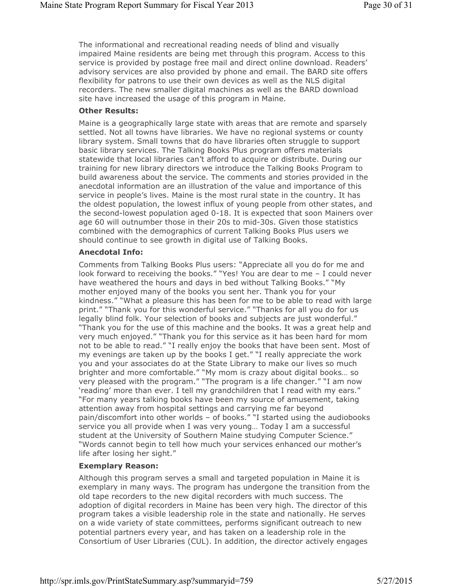The informational and recreational reading needs of blind and visually impaired Maine residents are being met through this program. Access to this service is provided by postage free mail and direct online download. Readers' advisory services are also provided by phone and email. The BARD site offers flexibility for patrons to use their own devices as well as the NLS digital recorders. The new smaller digital machines as well as the BARD download site have increased the usage of this program in Maine.

#### **Other Results:**

Maine is a geographically large state with areas that are remote and sparsely settled. Not all towns have libraries. We have no regional systems or county library system. Small towns that do have libraries often struggle to support basic library services. The Talking Books Plus program offers materials statewide that local libraries can't afford to acquire or distribute. During our training for new library directors we introduce the Talking Books Program to build awareness about the service. The comments and stories provided in the anecdotal information are an illustration of the value and importance of this service in people's lives. Maine is the most rural state in the country. It has the oldest population, the lowest influx of young people from other states, and the second-lowest population aged 0-18. It is expected that soon Mainers over age 60 will outnumber those in their 20s to mid-30s. Given those statistics combined with the demographics of current Talking Books Plus users we should continue to see growth in digital use of Talking Books.

#### **Anecdotal Info:**

Comments from Talking Books Plus users: "Appreciate all you do for me and look forward to receiving the books." "Yes! You are dear to me – I could never have weathered the hours and days in bed without Talking Books." "My mother enjoyed many of the books you sent her. Thank you for your kindness." "What a pleasure this has been for me to be able to read with large print." "Thank you for this wonderful service." "Thanks for all you do for us legally blind folk. Your selection of books and subjects are just wonderful." "Thank you for the use of this machine and the books. It was a great help and very much enjoyed." "Thank you for this service as it has been hard for mom not to be able to read." "I really enjoy the books that have been sent. Most of my evenings are taken up by the books I get." "I really appreciate the work you and your associates do at the State Library to make our lives so much brighter and more comfortable." "My mom is crazy about digital books… so very pleased with the program." "The program is a life changer." "I am now 'reading' more than ever. I tell my grandchildren that I read with my ears." "For many years talking books have been my source of amusement, taking attention away from hospital settings and carrying me far beyond pain/discomfort into other worlds – of books." "I started using the audiobooks service you all provide when I was very young… Today I am a successful student at the University of Southern Maine studying Computer Science." "Words cannot begin to tell how much your services enhanced our mother's life after losing her sight."

## **Exemplary Reason:**

Although this program serves a small and targeted population in Maine it is exemplary in many ways. The program has undergone the transition from the old tape recorders to the new digital recorders with much success. The adoption of digital recorders in Maine has been very high. The director of this program takes a visible leadership role in the state and nationally. He serves on a wide variety of state committees, performs significant outreach to new potential partners every year, and has taken on a leadership role in the Consortium of User Libraries (CUL). In addition, the director actively engages